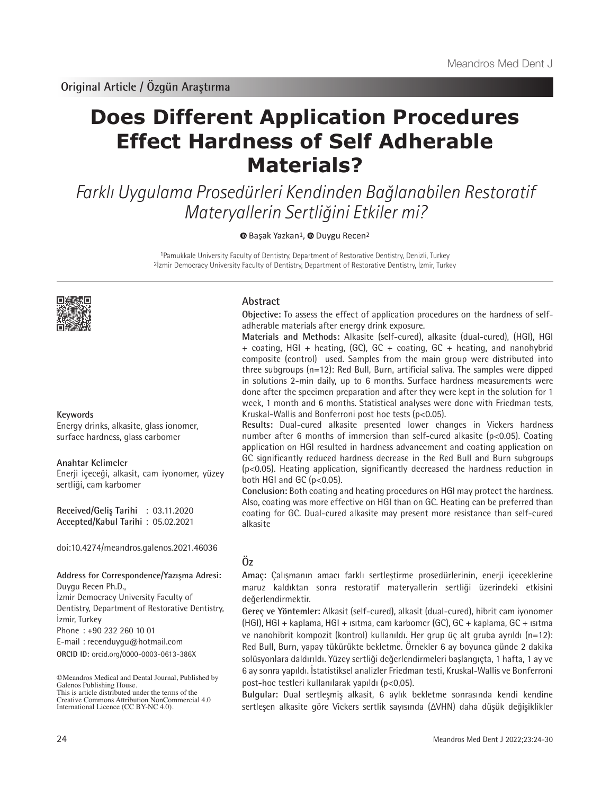# **Does Different Application Procedures Effect Hardness of Self Adherable Materials?**

Farklı Uygulama Prosedürleri Kendinden Bağlanabilen Restoratif Materyallerin Sertliğini Etkiler mi?

**BasakYazkan<sup>1</sup>**[,](https://orcid.org/0000-0003-0613-386X) **Duygu Recen<sup>2</sup>** 

1Pamukkale University Faculty of Dentistry, Department of Restorative Dentistry, Denizli, Turkey 2İzmir Democracy University Faculty of Dentistry, Department of Restorative Dentistry, İzmir, Turkey



# **Keywords**

Energy drinks, alkasite, glass ionomer, surface hardness, glass carbomer

# **Anahtar Kelimeler**

Enerji içeceği, alkasit, cam iyonomer, yüzey sertliği, cam karbomer

**Received/Geliş Tarihi** : 03.11.2020 **Accepted/Kabul Tarihi** : 05.02.2021

doi:10.4274/meandros.galenos.2021.46036

#### **Address for Correspondence/Yazışma Adresi:** Duygu Recen Ph.D.,

İzmir Democracy University Faculty of Dentistry, Department of Restorative Dentistry, İzmir, Turkey

Phone : +90 232 260 10 01

E-mail : recenduygu@hotmail.com

**ORCID ID:** orcid.org/0000-0003-0613-386X

# **Abstract**

**Objective:** To assess the effect of application procedures on the hardness of selfadherable materials after energy drink exposure.

**Materials and Methods:** Alkasite (self-cured), alkasite (dual-cured), (HGI), HGI + coating, HGI + heating, (GC), GC + coating, GC + heating, and nanohybrid composite (control) used. Samples from the main group were distributed into three subgroups (n=12): Red Bull, Burn, artificial saliva. The samples were dipped in solutions 2-min daily, up to 6 months. Surface hardness measurements were done after the specimen preparation and after they were kept in the solution for 1 week, 1 month and 6 months. Statistical analyses were done with Friedman tests, Kruskal-Wallis and Bonferroni post hoc tests (p<0.05).

**Results:** Dual-cured alkasite presented lower changes in Vickers hardness number after 6 months of immersion than self-cured alkasite (p<0.05). Coating application on HGI resulted in hardness advancement and coating application on GC significantly reduced hardness decrease in the Red Bull and Burn subgroups (p<0.05). Heating application, significantly decreased the hardness reduction in both HGI and GC ( $p<0.05$ ).

**Conclusion:** Both coating and heating procedures on HGI may protect the hardness. Also, coating was more effective on HGI than on GC. Heating can be preferred than coating for GC. Dual-cured alkasite may present more resistance than self-cured alkasite

# **Öz**

**Amaç:** Çalışmanın amacı farklı sertleştirme prosedürlerinin, enerji içeceklerine maruz kaldıktan sonra restoratif materyallerin sertliği üzerindeki etkisini değerlendirmektir.

**Gereç ve Yöntemler:** Alkasit (self-cured), alkasit (dual-cured), hibrit cam iyonomer (HGI), HGI + kaplama, HGI + ısıtma, cam karbomer (GC), GC + kaplama, GC + ısıtma ve nanohibrit kompozit (kontrol) kullanıldı. Her grup üç alt gruba ayrıldı (n=12): Red Bull, Burn, yapay tükürükte bekletme. Örnekler 6 ay boyunca günde 2 dakika solüsyonlara daldırıldı. Yüzey sertliği değerlendirmeleri başlangıçta, 1 hafta, 1 ay ve 6 ay sonra yapıldı. İstatistiksel analizler Friedman testi, Kruskal-Wallis ve Bonferroni post-hoc testleri kullanılarak yapıldı (p<0,05).

**Bulgular:** Dual sertleşmiş alkasit, 6 aylık bekletme sonrasında kendi kendine sertleşen alkasite göre Vickers sertlik sayısında (ΔVHN) daha düşük değişiklikler

<sup>©</sup>Meandros Medical and Dental Journal, Published by Galenos Publishing House. This is article distributed under the terms of the

Creative Commons Attribution NonCommercial 4.0 International Licence (CC BY-NC 4.0).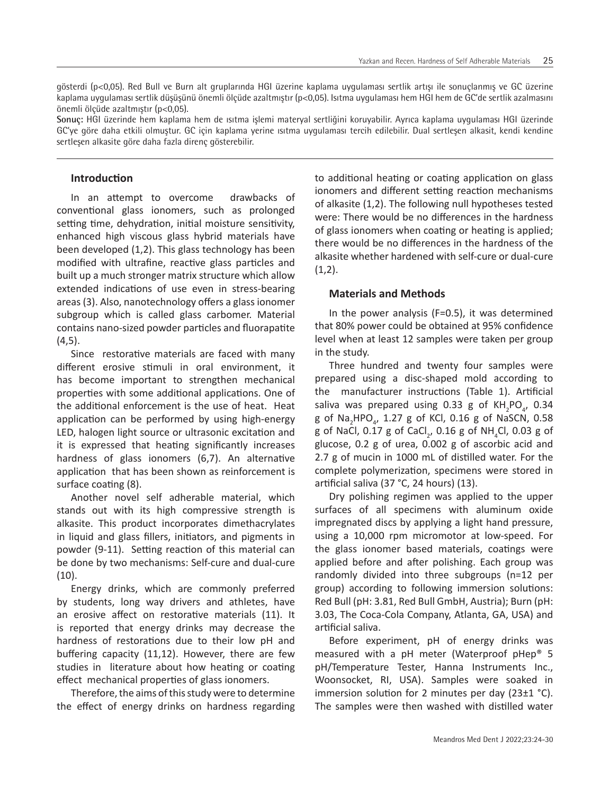gösterdi (p<0,05). Red Bull ve Burn alt gruplarında HGI üzerine kaplama uygulaması sertlik artışı ile sonuçlanmış ve GC üzerine kaplama uygulaması sertlik düşüşünü önemli ölçüde azaltmıştır (p<0,05). Isıtma uygulaması hem HGI hem de GC'de sertlik azalmasını önemli ölçüde azaltmıştır (p<0,05).

**Sonuç:** HGI üzerinde hem kaplama hem de ısıtma işlemi materyal sertliğini koruyabilir. Ayrıca kaplama uygulaması HGI üzerinde GC'ye göre daha etkili olmuştur. GC için kaplama yerine ısıtma uygulaması tercih edilebilir. Dual sertleşen alkasit, kendi kendine sertleşen alkasite göre daha fazla direnç gösterebilir.

# **Introduction**

In an attempt to overcome drawbacks of conventional glass ionomers, such as prolonged setting time, dehydration, initial moisture sensitivity, enhanced high viscous glass hybrid materials have been developed (1,2). This glass technology has been modified with ultrafine, reactive glass particles and built up a much stronger matrix structure which allow extended indications of use even in stress-bearing areas (3). Also, nanotechnology offers a glass ionomer subgroup which is called glass carbomer. Material contains nano-sized powder particles and fluorapatite (4,5).

Since restorative materials are faced with many different erosive stimuli in oral environment, it has become important to strengthen mechanical properties with some additional applications. One of the additional enforcement is the use of heat. Heat application can be performed by using high-energy LED, halogen light source or ultrasonic excitation and it is expressed that heating significantly increases hardness of glass ionomers (6,7). An alternative application that has been shown as reinforcement is surface coating (8).

Another novel self adherable material, which stands out with its high compressive strength is alkasite. This product incorporates dimethacrylates in liquid and glass fillers, initiators, and pigments in powder (9-11). Setting reaction of this material can be done by two mechanisms: Self-cure and dual-cure (10).

Energy drinks, which are commonly preferred by students, long way drivers and athletes, have an erosive affect on restorative materials (11). It is reported that energy drinks may decrease the hardness of restorations due to their low pH and buffering capacity (11,12). However, there are few studies in literature about how heating or coating effect mechanical properties of glass ionomers.

Therefore, the aims of this study were to determine the effect of energy drinks on hardness regarding to additional heating or coating application on glass ionomers and different setting reaction mechanisms of alkasite (1,2). The following null hypotheses tested were: There would be no differences in the hardness of glass ionomers when coating or heating is applied; there would be no differences in the hardness of the alkasite whether hardened with self-cure or dual-cure  $(1,2)$ .

# **Materials and Methods**

In the power analysis (F=0.5), it was determined that 80% power could be obtained at 95% confidence level when at least 12 samples were taken per group in the study.

Three hundred and twenty four samples were prepared using a disc-shaped mold according to the manufacturer instructions (Table 1). Artificial saliva was prepared using 0.33 g of  $KH_{2}PO_{4}$ , 0.34 g of Na<sub>2</sub>HPO<sub>4</sub>, 1.27 g of KCl, 0.16 g of NaSCN, 0.58 g of NaCl,  $0.17$  g of CaCl<sub>2</sub>,  $0.16$  g of NH<sub>4</sub>Cl,  $0.03$  g of glucose, 0.2 g of urea, 0.002 g of ascorbic acid and 2.7 g of mucin in 1000 mL of distilled water. For the complete polymerization, specimens were stored in artificial saliva (37 °C, 24 hours) (13).

Dry polishing regimen was applied to the upper surfaces of all specimens with aluminum oxide impregnated discs by applying a light hand pressure, using a 10,000 rpm micromotor at low-speed. For the glass ionomer based materials, coatings were applied before and after polishing. Each group was randomly divided into three subgroups (n=12 per group) according to following immersion solutions: Red Bull (pH: 3.81, Red Bull GmbH, Austria); Burn (pH: 3.03, The Coca-Cola Company, Atlanta, GA, USA) and artificial saliva.

Before experiment, pH of energy drinks was measured with a pH meter (Waterproof pHep® 5 pH/Temperature Tester, Hanna Instruments Inc., Woonsocket, RI, USA). Samples were soaked in immersion solution for 2 minutes per day  $(23\pm1 \degree C)$ . The samples were then washed with distilled water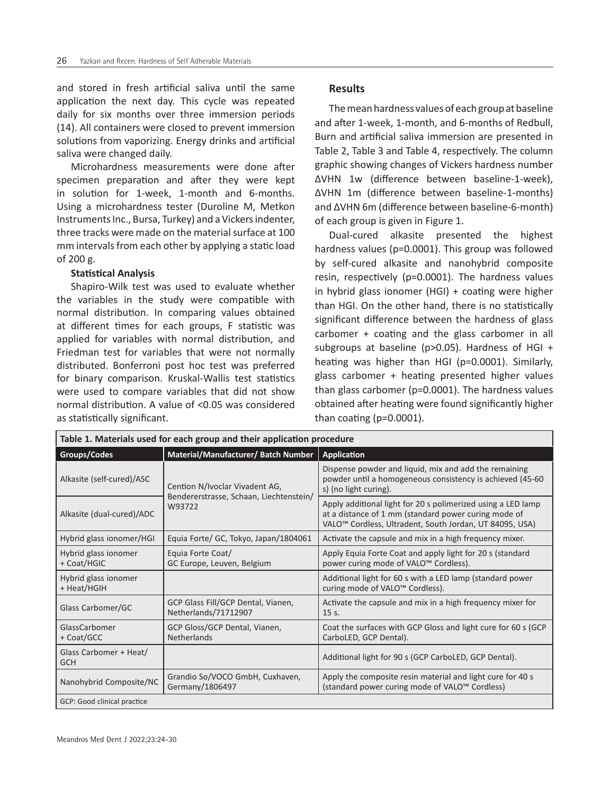and stored in fresh artificial saliva until the same application the next day. This cycle was repeated daily for six months over three immersion periods (14). All containers were closed to prevent immersion solutions from vaporizing. Energy drinks and artificial saliva were changed daily.

Microhardness measurements were done after specimen preparation and after they were kept in solution for 1-week, 1-month and 6-months. Using a microhardness tester (Duroline M, Metkon Instruments Inc., Bursa, Turkey) and a Vickers indenter, three tracks were made on the material surface at 100 mm intervals from each other by applying a static load of 200 g.

#### **Statistical Analysis**

Shapiro-Wilk test was used to evaluate whether the variables in the study were compatible with normal distribution. In comparing values obtained at different times for each groups, F statistic was applied for variables with normal distribution, and Friedman test for variables that were not normally distributed. Bonferroni post hoc test was preferred for binary comparison. Kruskal-Wallis test statistics were used to compare variables that did not show normal distribution. A value of <0.05 was considered as statistically significant.

# **Results**

The mean hardness values of each group at baseline and after 1-week, 1-month, and 6-months of Redbull, Burn and artificial saliva immersion are presented in Table 2, Table 3 and Table 4, respectively. The column graphic showing changes of Vickers hardness number ΔVHN 1w (difference between baseline-1-week), ΔVHN 1m (difference between baseline-1-months) and ΔVHN 6m (difference between baseline-6-month) of each group is given in Figure 1.

Dual-cured alkasite presented the highest hardness values (p=0.0001). This group was followed by self-cured alkasite and nanohybrid composite resin, respectively (p=0.0001). The hardness values in hybrid glass ionomer (HGI) + coating were higher than HGI. On the other hand, there is no statistically significant difference between the hardness of glass carbomer + coating and the glass carbomer in all subgroups at baseline (p>0.05). Hardness of HGI + heating was higher than HGI (p=0.0001). Similarly, glass carbomer + heating presented higher values than glass carbomer (p=0.0001). The hardness values obtained after heating were found significantly higher than coating (p=0.0001).

| Table 1. Materials used for each group and their application procedure |                                                                           |                                                                                                                                                                                             |  |  |  |
|------------------------------------------------------------------------|---------------------------------------------------------------------------|---------------------------------------------------------------------------------------------------------------------------------------------------------------------------------------------|--|--|--|
| Groups/Codes                                                           | Material/Manufacturer/ Batch Number                                       | Application                                                                                                                                                                                 |  |  |  |
| Alkasite (self-cured)/ASC                                              | Cention N/Ivoclar Vivadent AG,<br>Bendererstrasse, Schaan, Liechtenstein/ | Dispense powder and liquid, mix and add the remaining<br>powder until a homogeneous consistency is achieved (45-60<br>s) (no light curing).                                                 |  |  |  |
| Alkasite (dual-cured)/ADC                                              | W93722                                                                    | Apply additional light for 20 s polimerized using a LED lamp<br>at a distance of 1 mm (standard power curing mode of<br>VALO <sup>™</sup> Cordless, Ultradent, South Jordan, UT 84095, USA) |  |  |  |
| Hybrid glass ionomer/HGI                                               | Equia Forte/ GC, Tokyo, Japan/1804061                                     | Activate the capsule and mix in a high frequency mixer.                                                                                                                                     |  |  |  |
| Hybrid glass ionomer<br>+ Coat/HGIC                                    | Equia Forte Coat/<br>GC Europe, Leuven, Belgium                           | Apply Equia Forte Coat and apply light for 20 s (standard<br>power curing mode of VALO <sup>™</sup> Cordless).                                                                              |  |  |  |
| Hybrid glass ionomer<br>+ Heat/HGIH                                    |                                                                           | Additional light for 60 s with a LED lamp (standard power<br>curing mode of VALO <sup>™</sup> Cordless).                                                                                    |  |  |  |
| Glass Carbomer/GC                                                      | GCP Glass Fill/GCP Dental, Vianen,<br>Netherlands/71712907                | Activate the capsule and mix in a high frequency mixer for<br>$15s$ .                                                                                                                       |  |  |  |
| GlassCarbomer<br>+ Coat/GCC                                            | GCP Gloss/GCP Dental, Vianen,<br><b>Netherlands</b>                       | Coat the surfaces with GCP Gloss and light cure for 60 s (GCP<br>CarboLED, GCP Dental).                                                                                                     |  |  |  |
| Glass Carbomer + Heat/<br><b>GCH</b>                                   |                                                                           | Additional light for 90 s (GCP CarboLED, GCP Dental).                                                                                                                                       |  |  |  |
| Nanohybrid Composite/NC                                                | Grandio So/VOCO GmbH, Cuxhaven,<br>Germany/1806497                        | Apply the composite resin material and light cure for 40 s<br>(standard power curing mode of VALO <sup>™</sup> Cordless)                                                                    |  |  |  |
| GCP: Good clinical practice                                            |                                                                           |                                                                                                                                                                                             |  |  |  |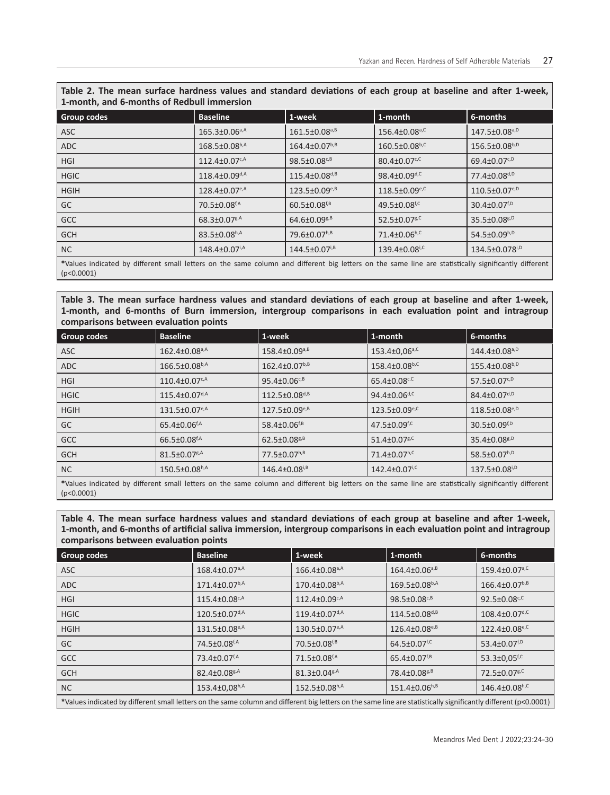| Table 2. The mean surface hardness values and standard deviations of each group at baseline and after 1-week,<br>1-month, and 6-months of Redbull immersion |                                 |                                |                                  |                                 |  |  |
|-------------------------------------------------------------------------------------------------------------------------------------------------------------|---------------------------------|--------------------------------|----------------------------------|---------------------------------|--|--|
| <b>Group codes</b>                                                                                                                                          | <b>Baseline</b>                 | 1-week                         | 1-month                          | 6-months                        |  |  |
| ASC                                                                                                                                                         | $165.3 \pm 0.06$ <sup>a,A</sup> | $161.5 \pm 0.08^{a,B}$         | $156.4 \pm 0.08$ <sup>a,C</sup>  | $147.5 \pm 0.08^{a, D}$         |  |  |
| <b>ADC</b>                                                                                                                                                  | $168.5 \pm 0.08^{b,A}$          | $164.4 \pm 0.07^{b,B}$         | $160.5 \pm 0.08^{b,C}$           | $156.5 \pm 0.08^{b,0}$          |  |  |
| <b>HGI</b>                                                                                                                                                  | $112.4 \pm 0.07$ <sup>c,A</sup> | $98.5 \pm 0.08^{c, B}$         | $80.4 \pm 0.07$ <sup>c,C</sup>   | $69.4 \pm 0.07$ <sup>c,D</sup>  |  |  |
| <b>HGIC</b>                                                                                                                                                 | $118.4 \pm 0.09^{d,A}$          | $115.4 \pm 0.08^{d,B}$         | $98.4 \pm 0.09$ <sup>d,C</sup>   | $77.4 \pm 0.08$ <sup>d,D</sup>  |  |  |
| <b>HGIH</b>                                                                                                                                                 | $128.4 \pm 0.07$ <sup>e,A</sup> | $123.5 \pm 0.09^{e,B}$         | $118.5 \pm 0.09$ <sup>e,C</sup>  | $110.5 \pm 0.07$ <sup>e,D</sup> |  |  |
| GC                                                                                                                                                          | $70.5 \pm 0.08$ <sup>f,A</sup>  | $60.5 \pm 0.08^{f,B}$          | 49.5 $\pm$ 0.08 <sup>f,C</sup>   | $30.4 \pm 0.07^{f, D}$          |  |  |
| <b>GCC</b>                                                                                                                                                  | $68.3 \pm 0.07$ <sup>g,A</sup>  | $64.6 \pm 0.09$ <sup>g,B</sup> | 52.5 $\pm$ 0.07 $s$ <sup>C</sup> | $35.5 \pm 0.08$ <sup>g,D</sup>  |  |  |
| <b>GCH</b>                                                                                                                                                  | $83.5 \pm 0.08^{h,A}$           | 79.6±0.07h,B                   | $71.4 \pm 0.06^{h,C}$            | 54.5 $\pm$ 0.09 <sup>h,D</sup>  |  |  |
| <b>NC</b>                                                                                                                                                   | $148.4 \pm 0.07$ <sup>i,A</sup> | $144.5 \pm 0.07^{i,B}$         | $139.4 \pm 0.08$ <sup>i,C</sup>  | 134.5±0.078 <sup>i,D</sup>      |  |  |

**\***Values indicated by different small letters on the same column and different big letters on the same line are statistically significantly different (p<0.0001)

**Table 3. The mean surface hardness values and standard deviations of each group at baseline and after 1-week, 1-month, and 6-months of Burn immersion, intergroup comparisons in each evaluation point and intragroup comparisons between evaluation points**

| Group codes | <b>Baseline</b>                 | 1-week                         | 1-month                         | 6-months                       |  |
|-------------|---------------------------------|--------------------------------|---------------------------------|--------------------------------|--|
| ASC         | $162.4 \pm 0.08$ <sup>a,A</sup> | $158.4 \pm 0.09^{a,B}$         | $153.4 \pm 0.06$ <sup>a,C</sup> | $144.4 \pm 0.08^{a,0}$         |  |
| <b>ADC</b>  | $166.5 \pm 0.08^{b,A}$          | $162.4 \pm 0.07^{b, B}$        | 158.4±0.08b,C                   | $155.4 \pm 0.08^{b,0}$         |  |
| <b>HGI</b>  | $110.4 \pm 0.07$ <sup>c,A</sup> | $95.4 \pm 0.06^{c, B}$         | $65.4 \pm 0.08$ <sub>c.C</sub>  | $57.5 \pm 0.07^{c, D}$         |  |
| <b>HGIC</b> | $115.4 \pm 0.07$ <sup>d,A</sup> | $112.5 \pm 0.08^{d,B}$         | 94.4 $\pm$ 0.06 <sup>d,C</sup>  | $84.4 \pm 0.07^{d,D}$          |  |
| <b>HGIH</b> | 131.5±0.07 <sup>e,A</sup>       | $127.5 \pm 0.09^{e,B}$         | $123.5 \pm 0.09$ <sup>e,C</sup> | $118.5 \pm 0.08^{e, D}$        |  |
| GC          | $65.4 \pm 0.06$ <sup>f,A</sup>  | 58.4 $\pm$ 0.06 <sup>f,B</sup> | 47.5 $\pm$ 0.09 <sup>f,c</sup>  | $30.5 \pm 0.09^{f, D}$         |  |
| <b>GCC</b>  | $66.5 \pm 0.08$ <sup>f,A</sup>  | $62.5 \pm 0.08$ <sup>g,B</sup> | $51.4 \pm 0.07$ g,C             | $35.4 \pm 0.08$ <sup>g,D</sup> |  |
| <b>GCH</b>  | $81.5 \pm 0.07$ <sup>g,A</sup>  | 77.5±0.07h,B                   | $71.4 \pm 0.07$ <sup>h,C</sup>  | 58.5 $\pm$ 0.07 <sup>h,D</sup> |  |
| NC          | $150.5 \pm 0.08^{h,A}$          | $146.4 \pm 0.08^{i,B}$         | $142.4 \pm 0.07$ <sup>i,C</sup> | 137.5±0.08 <sup>i,D</sup>      |  |
| $\Delta$    |                                 |                                |                                 |                                |  |

**\***Values indicated by different small letters on the same column and different big letters on the same line are statistically significantly different (p<0.0001)

**Table 4. The mean surface hardness values and standard deviations of each group at baseline and after 1-week, 1-month, and 6-months of artificial saliva immersion, intergroup comparisons in each evaluation point and intragroup comparisons between evaluation points**

| Group codes                                                                                                                                                     | <b>Baseline</b>                 | 1-week                          | 1-month                        | 6-months                        |  |
|-----------------------------------------------------------------------------------------------------------------------------------------------------------------|---------------------------------|---------------------------------|--------------------------------|---------------------------------|--|
| <b>ASC</b>                                                                                                                                                      | 168.4±0.07 <sup>a,A</sup>       | $166.4 \pm 0.08$ <sup>a,A</sup> | $164.4 \pm 0.06^{a,B}$         | $159.4 \pm 0.07$ <sup>a,C</sup> |  |
| ADC                                                                                                                                                             | $171.4 \pm 0.07^{b,A}$          | $170.4 \pm 0.08^{b,A}$          | $169.5 \pm 0.08^{b,A}$         | $166.4 \pm 0.07^{b, B}$         |  |
| <b>HGI</b>                                                                                                                                                      | $115.4 \pm 0.08$ <sub>c,A</sub> | $112.4 \pm 0.09^{c,A}$          | $98.5 \pm 0.08^{c,B}$          | $92.5 \pm 0.08$ <sub>c,C</sub>  |  |
| <b>HGIC</b>                                                                                                                                                     | $120.5 \pm 0.07$ <sup>d,A</sup> | $119.4 \pm 0.07$ <sup>d,A</sup> | $114.5 \pm 0.08^{d,B}$         | $108.4 \pm 0.07$ <sup>d,C</sup> |  |
| <b>HGIH</b>                                                                                                                                                     | 131.5±0.08 <sup>e,A</sup>       | $130.5 \pm 0.07$ <sup>e,A</sup> | $126.4 \pm 0.08^{e,B}$         | $122.4 \pm 0.08$ <sup>e,C</sup> |  |
| GC                                                                                                                                                              | 74.5±0.08 <sup>f,A</sup>        | $70.5 \pm 0.08^{f,B}$           | $64.5 \pm 0.07$ <sup>f,C</sup> | 53.4 $\pm$ 0.07 <sup>f,D</sup>  |  |
| <b>GCC</b>                                                                                                                                                      | 73.4 $\pm$ 0.07 <sup>f,A</sup>  | $71.5 \pm 0.08$ <sup>f,A</sup>  | $65.4 \pm 0.07^{f,B}$          | 53.3 $\pm$ 0,05 <sup>f,c</sup>  |  |
| <b>GCH</b>                                                                                                                                                      | $82.4 \pm 0.08$ <sub>g</sub> ,A | $81.3 \pm 0.04$ <sup>g,A</sup>  | 78.4±0.08 <sup>g,B</sup>       | $72.5 \pm 0.07$ g,C             |  |
| NC                                                                                                                                                              | 153.4±0,08h,A                   | $152.5 \pm 0.08^{h,A}$          | $151.4 \pm 0.06^{h,B}$         | $146.4 \pm 0.08$ h,C            |  |
| *Values indicated by different small letters on the same column and different big letters on the same line are statistically significantly different (p<0.0001) |                                 |                                 |                                |                                 |  |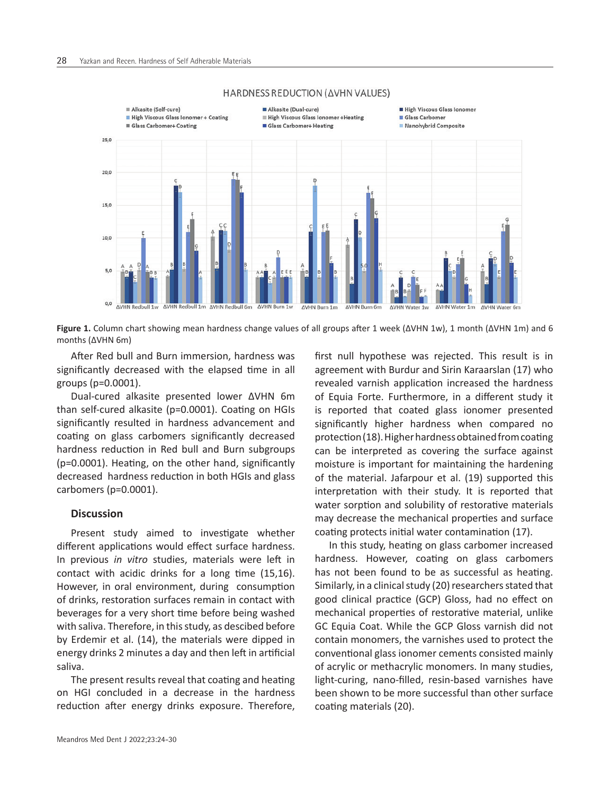

#### HARDNESS REDUCTION (AVHN VALUES)

**Figure 1.** Column chart showing mean hardness change values of all groups after 1 week (ΔVHN 1w), 1 month (ΔVHN 1m) and 6 months (ΔVHN 6m)

After Red bull and Burn immersion, hardness was significantly decreased with the elapsed time in all groups (p=0.0001).

Dual-cured alkasite presented lower ΔVHN 6m than self-cured alkasite (p=0.0001). Coating on HGIs significantly resulted in hardness advancement and coating on glass carbomers significantly decreased hardness reduction in Red bull and Burn subgroups (p=0.0001). Heating, on the other hand, significantly decreased hardness reduction in both HGIs and glass carbomers (p=0.0001).

# **Discussion**

Present study aimed to investigate whether different applications would effect surface hardness. In previous *in vitro* studies, materials were left in contact with acidic drinks for a long time (15,16). However, in oral environment, during consumption of drinks, restoration surfaces remain in contact with beverages for a very short time before being washed with saliva. Therefore, in this study, as descibed before by Erdemir et al. (14), the materials were dipped in energy drinks 2 minutes a day and then left in artificial saliva.

The present results reveal that coating and heating on HGI concluded in a decrease in the hardness reduction after energy drinks exposure. Therefore,

agreement with Burdur and Sirin Karaarslan (17) who revealed varnish application increased the hardness of Equia Forte. Furthermore, in a different study it is reported that coated glass ionomer presented significantly higher hardness when compared no protection (18). Higher hardness obtained from coating can be interpreted as covering the surface against moisture is important for maintaining the hardening of the material. Jafarpour et al. (19) supported this interpretation with their study. It is reported that water sorption and solubility of restorative materials may decrease the mechanical properties and surface coating protects initial water contamination (17).

first null hypothese was rejected. This result is in

In this study, heating on glass carbomer increased hardness. However, coating on glass carbomers has not been found to be as successful as heating. Similarly, in a clinical study (20) researchers stated that good clinical practice (GCP) Gloss, had no effect on mechanical properties of restorative material, unlike GC Equia Coat. While the GCP Gloss varnish did not contain monomers, the varnishes used to protect the conventional glass ionomer cements consisted mainly of acrylic or methacrylic monomers. In many studies, light-curing, nano-filled, resin-based varnishes have been shown to be more successful than other surface coating materials (20).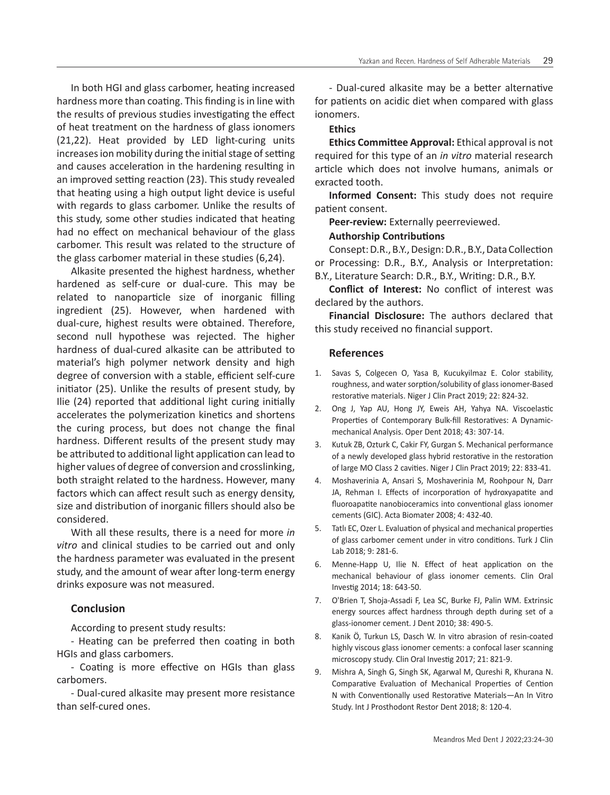In both HGI and glass carbomer, heating increased hardness more than coating. This finding is in line with the results of previous studies investigating the effect of heat treatment on the hardness of glass ionomers (21,22). Heat provided by LED light-curing units increases ion mobility during the initial stage of setting and causes acceleration in the hardening resulting in an improved setting reaction (23). This study revealed that heating using a high output light device is useful with regards to glass carbomer. Unlike the results of this study, some other studies indicated that heating had no effect on mechanical behaviour of the glass carbomer. This result was related to the structure of the glass carbomer material in these studies (6,24).

Alkasite presented the highest hardness, whether hardened as self-cure or dual-cure. This may be related to nanoparticle size of inorganic filling ingredient (25). However, when hardened with dual-cure, highest results were obtained. Therefore, second null hypothese was rejected. The higher hardness of dual-cured alkasite can be attributed to material's high polymer network density and high degree of conversion with a stable, efficient self-cure initiator (25). Unlike the results of present study, by Ilie (24) reported that additional light curing initially accelerates the polymerization kinetics and shortens the curing process, but does not change the final hardness. Different results of the present study may be attributed to additional light application can lead to higher values of degree of conversion and crosslinking, both straight related to the hardness. However, many factors which can affect result such as energy density, size and distribution of inorganic fillers should also be considered.

With all these results, there is a need for more *in vitro* and clinical studies to be carried out and only the hardness parameter was evaluated in the present study, and the amount of wear after long-term energy drinks exposure was not measured.

# **Conclusion**

According to present study results:

- Heating can be preferred then coating in both HGIs and glass carbomers.

- Coating is more effective on HGIs than glass carbomers.

- Dual-cured alkasite may present more resistance than self-cured ones.

- Dual-cured alkasite may be a better alternative for patients on acidic diet when compared with glass ionomers.

#### **Ethics**

**Ethics Committee Approval:** Ethical approval is not required for this type of an *in vitro* material research article which does not involve humans, animals or exracted tooth.

**Informed Consent:** This study does not require patient consent.

**Peer-review:** Externally peerreviewed.

# **Authorship Contributions**

Consept: D.R., B.Y., Design: D.R., B.Y., Data Collection or Processing: D.R., B.Y., Analysis or Interpretation: B.Y., Literature Search: D.R., B.Y., Writing: D.R., B.Y.

**Conflict of Interest:** No conflict of interest was declared by the authors.

**Financial Disclosure:** The authors declared that this study received no financial support.

# **References**

- 1. Savas S, Colgecen O, Yasa B, Kucukyilmaz E. Color stability, roughness, and water sorption/solubility of glass ionomer-Based restorative materials. Niger J Clin Pract 2019; 22: 824-32.
- 2. Ong J, Yap AU, Hong JY, Eweis AH, Yahya NA. Viscoelastic Properties of Contemporary Bulk-fill Restoratives: A Dynamicmechanical Analysis. Oper Dent 2018; 43: 307-14.
- 3. Kutuk ZB, Ozturk C, Cakir FY, Gurgan S. Mechanical performance of a newly developed glass hybrid restorative in the restoration of large MO Class 2 cavities. Niger J Clin Pract 2019; 22: 833-41.
- 4. Moshaverinia A, Ansari S, Moshaverinia M, Roohpour N, Darr JA, Rehman I. Effects of incorporation of hydroxyapatite and fluoroapatite nanobioceramics into conventional glass ionomer cements (GIC). Acta Biomater 2008; 4: 432-40.
- 5. Tatlı EC, Ozer L. Evaluation of physical and mechanical properties of glass carbomer cement under in vitro conditions. Turk J Clin Lab 2018; 9: 281-6.
- 6. Menne-Happ U, Ilie N. Effect of heat application on the mechanical behaviour of glass ionomer cements. Clin Oral Investig 2014; 18: 643-50.
- 7. O'Brien T, Shoja-Assadi F, Lea SC, Burke FJ, Palin WM. Extrinsic energy sources affect hardness through depth during set of a glass-ionomer cement. J Dent 2010; 38: 490-5.
- 8. Kanik Ö, Turkun LS, Dasch W. In vitro abrasion of resin-coated highly viscous glass ionomer cements: a confocal laser scanning microscopy study. Clin Oral Investig 2017; 21: 821-9.
- 9. Mishra A, Singh G, Singh SK, Agarwal M, Qureshi R, Khurana N. Comparative Evaluation of Mechanical Properties of Cention N with Conventionally used Restorative Materials—An In Vitro Study. Int J Prosthodont Restor Dent 2018; 8: 120-4.